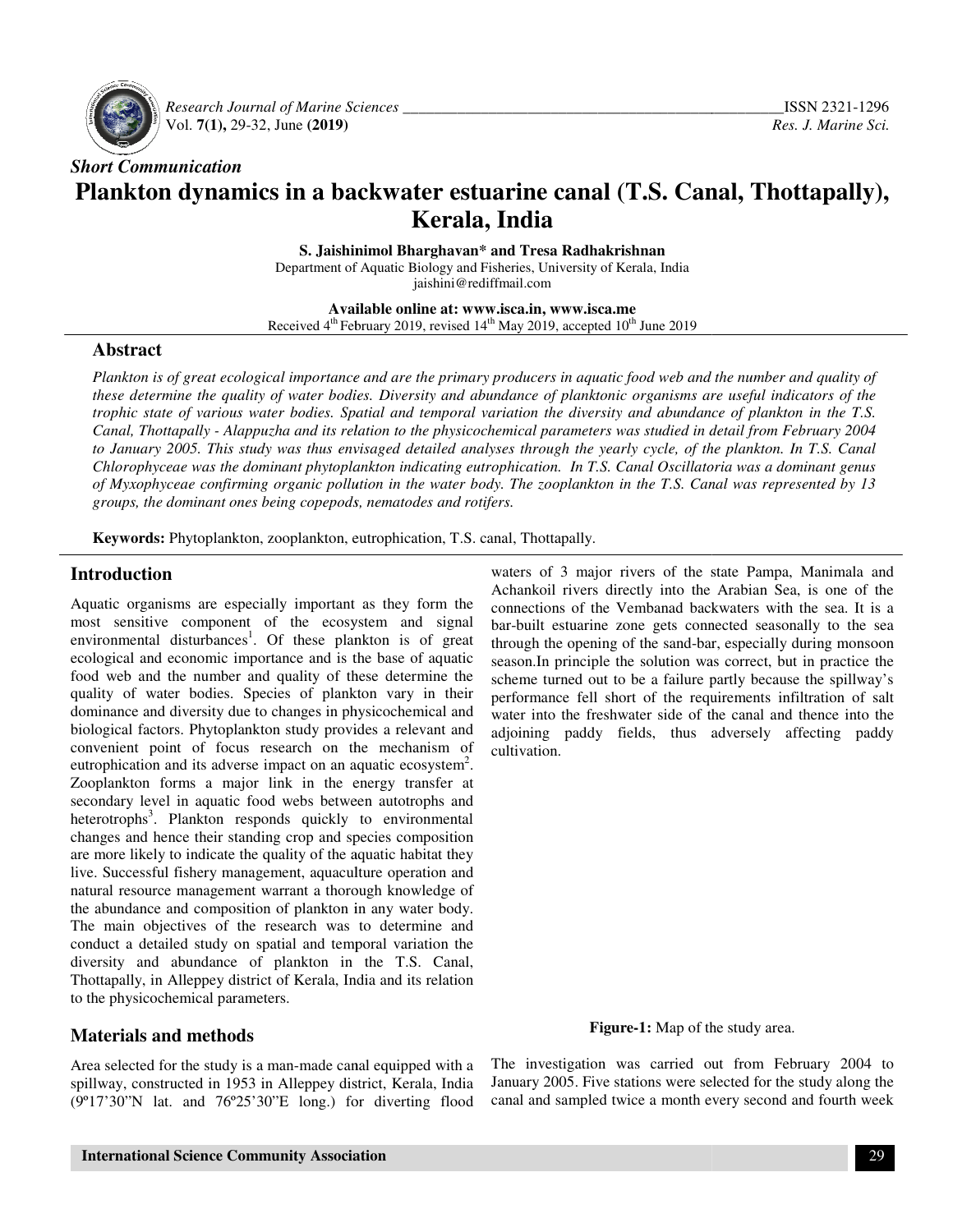

 *Research Journal of Marine Sciences*  Vol. **7(1),** 29-32, June **(2019)**

# *Short Communication* Plankton dynamics in a backwater estuarine canal (T.S. Canal, Thottapally),<br>Kerala, India

*\_\_\_\_\_\_\_\_\_\_\_\_\_\_\_\_\_\_\_\_\_\_\_\_\_\_\_\_\_\_\_\_\_\_\_\_\_\_\_\_\_\_*

**S. Jaishinimol Bharghavan\* and Tresa Radhakrishnan Radhakrishnan** Department of Aquatic Biology and Fisheries, University of Kerala, India jaishini@rediffmail.com

**Available online at: www.isca.in, www.isca.me**  Received 4<sup>th</sup> February 2019, revised 14<sup>th</sup> May 2019, accepted 10<sup>th</sup> June 2019

### **Abstract**

Plankton is of great ecological importance and are the primary producers in aquatic food web and the number and quality of these determine the quality of water bodies. Diversity and abundance of planktonic organisms are useful indicators of the *trophic state of various water bodies. Spatial and temporal variation the diversity and abundance of plankton in the T.S.* Canal, Thottapally - Alappuzha and its relation to the physicochemical parameters was studied in detail from February 2004 *to January 2005. This study was thus envisaged detailed analyses through the yearly cycle, of the plankton. Chlorophyceae was the dominant phytoplankton indicating eutrophication. In T.S. Canal Oscillatoria was a dominant genus* of Myxophyceae confirming organic pollution in the water body. The zooplankton in the T.S. Canal was represented by 13 *groups, the dominant ones being copepods, nematodes and rotifers. the dominant rotifers.Alappuzha and its relation to the physicochemical parameters was studied in detail from February*<br>is study was thus envisaged detailed analyses through the yearly cycle, of the plankton. In T.S.<br>the dominant phytoplankton *In T.S. Canal* 

**Keywords:** Phytoplankton, zooplankton, eutrophication, T.S. canal, Thottapally.

### **Introduction**

Aquatic organisms are especially important as they form the most sensitive component of the ecosystem and signal environmental disturbances<sup>1</sup>. Of these plankton is of great ecological and economic importance and is the base of aquatic food web and the number and quality of these determine the quality of water bodies. Species of plankton vary in their dominance and diversity due to changes in physicochemical and biological factors. Phytoplankton study provides a relevant and convenient point of focus research on the mechanism of biological factors. Phytoplankton study provides a relevant and convenient point of focus research on the mechanism of eutrophication and its adverse impact on an aquatic ecosystem<sup>2</sup>. Zooplankton forms a major link in the energy transfer at secondary level in aquatic food webs between autotrophs and heterotrophs<sup>3</sup>. Plankton responds quickly to environmental changes and hence their standing crop and species composition are more likely to indicate the quality of the aquatic habitat they live. Successful fishery management, aquaculture operation and natural resource management warrant a thorough knowledge of the abundance and composition of plankton in any water body. The main objectives of the research was to determine and conduct a detailed study on spatial and temporal variation the diversity and abundance of plankton in the T.S. Canal, Thottapally, in Alleppey district of Kerala, India and its relation to the physicochemical parameters. component of the ecosystem and signal disturbances<sup>1</sup>. Of these plankton is of great economic importance and is the base of aquatic the number and quality of these determine the er bodies. Species of plankton vary in their **Introduction**<br> **Aquace organisms are especially important as they form the connections of the Venthanda Baquace organisation of the canady connections of the Venthanda backwaters with the search tail its assumed backwater** 

## **Materials and methods**

Area selected for the study is a man-made canal equipped with a spillway, constructed in 1953 in Alleppey district, Kerala, India (9º17'30"N lat. and 76º25'30"E long.) for diverting flood

Achankoil rivers directly into the Arabian Sea, is one of the connections of the Vembanad backwaters with the sea. It is a bar-built estuarine zone gets connected seasonally to the sea through the opening of the sand-bar, especially during monsoon season.In principle the solution was correct, but in practice the scheme turned out to be a failure partly because the spillway's performance fell short of the requirements infiltration of salt water into the freshwater side of the canal and thence into the adjoining paddy fields, thus adversely affecting paddy cultivation. waters of 3 major rivers of the state Pampa, Manimala and connections of the Vembanad backwaters with the sea. It is a bar-built estuarine zone gets connected seasonally to the sea through the opening of the sand-bar, especially during monsoon season.In principle the solution was scheme turned out to be a failure partly because the spillway's<br>performance fell short of the requirements infiltration of salt<br>water into the freshwater side of the canal and thence into the<br>adjoining paddy fields, thus a

**Figure-1:** Map of the study area.

The investigation was carried out from February 2004 to January 2005. Five stations were selected for the study along the canal and sampled twice a month every second and fourth week tion was carried out from Feb<br>Five stations were selected for the<br>pled twice a month every second a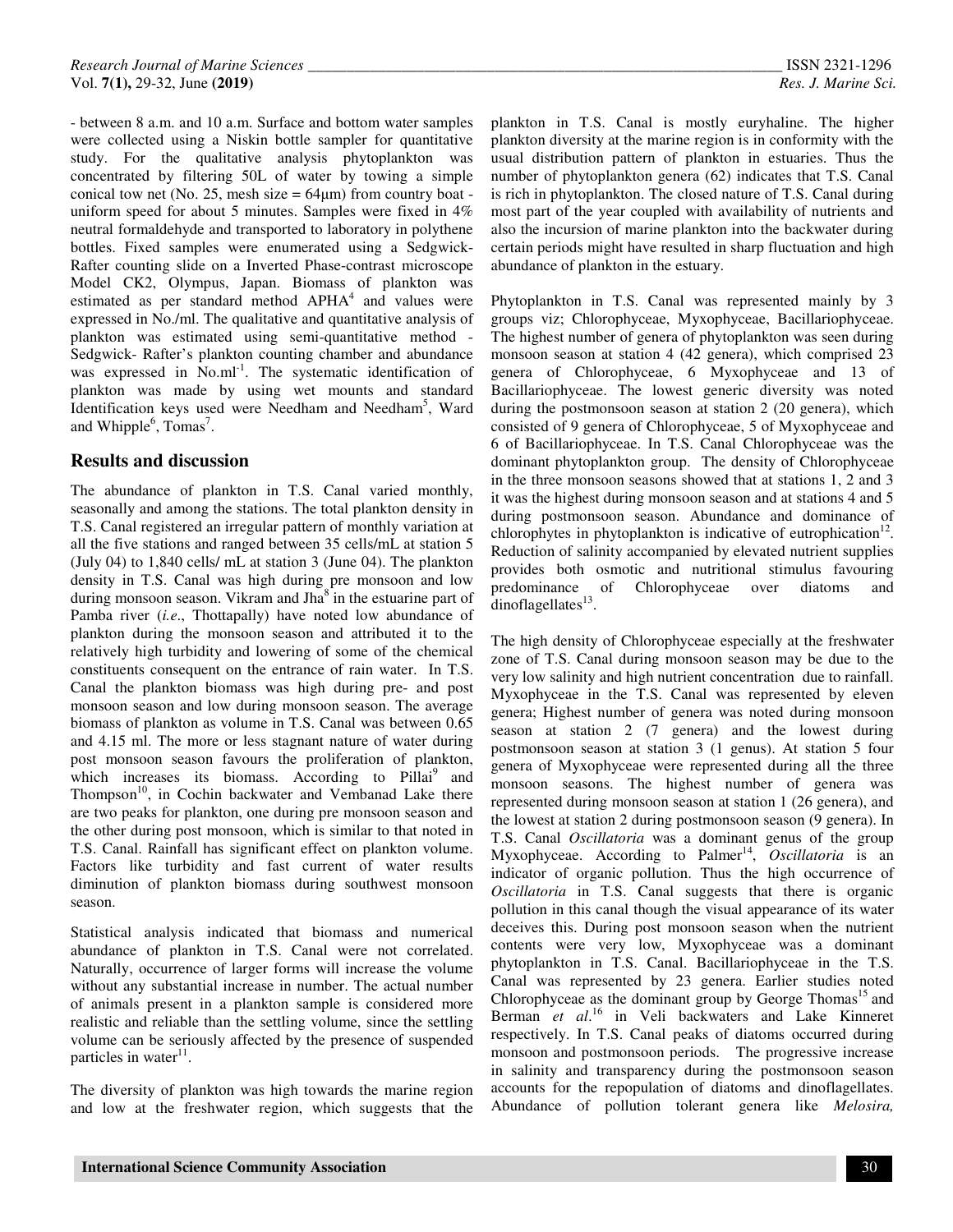- between 8 a.m. and 10 a.m. Surface and bottom water samples were collected using a Niskin bottle sampler for quantitative study. For the qualitative analysis phytoplankton was concentrated by filtering 50L of water by towing a simple conical tow net (No. 25, mesh size  $= 64 \mu m$ ) from country boat uniform speed for about 5 minutes. Samples were fixed in 4% neutral formaldehyde and transported to laboratory in polythene bottles. Fixed samples were enumerated using a Sedgwick-Rafter counting slide on a Inverted Phase-contrast microscope Model CK2, Olympus, Japan. Biomass of plankton was estimated as per standard method APHA<sup>4</sup> and values were expressed in No./ml. The qualitative and quantitative analysis of plankton was estimated using semi-quantitative method - Sedgwick- Rafter's plankton counting chamber and abundance was expressed in No.ml<sup>-1</sup>. The systematic identification of plankton was made by using wet mounts and standard Identification keys used were Needham and Needham<sup>5</sup>, Ward and Whipple<sup>6</sup>, Tomas<sup>7</sup>.

### **Results and discussion**

The abundance of plankton in T.S. Canal varied monthly, seasonally and among the stations. The total plankton density in T.S. Canal registered an irregular pattern of monthly variation at all the five stations and ranged between 35 cells/mL at station 5 (July 04) to 1,840 cells/ mL at station 3 (June 04). The plankton density in T.S. Canal was high during pre monsoon and low during monsoon season. Vikram and Jha<sup>8</sup> in the estuarine part of Pamba river (*i.e*., Thottapally) have noted low abundance of plankton during the monsoon season and attributed it to the relatively high turbidity and lowering of some of the chemical constituents consequent on the entrance of rain water. In T.S. Canal the plankton biomass was high during pre- and post monsoon season and low during monsoon season. The average biomass of plankton as volume in T.S. Canal was between 0.65 and 4.15 ml. The more or less stagnant nature of water during post monsoon season favours the proliferation of plankton, which increases its biomass. According to Pillai<sup>9</sup> and Thompson<sup>10</sup>, in Cochin backwater and Vembanad Lake there are two peaks for plankton, one during pre monsoon season and the other during post monsoon, which is similar to that noted in T.S. Canal. Rainfall has significant effect on plankton volume. Factors like turbidity and fast current of water results diminution of plankton biomass during southwest monsoon season.

Statistical analysis indicated that biomass and numerical abundance of plankton in T.S. Canal were not correlated. Naturally, occurrence of larger forms will increase the volume without any substantial increase in number. The actual number of animals present in a plankton sample is considered more realistic and reliable than the settling volume, since the settling volume can be seriously affected by the presence of suspended particles in water<sup>11</sup>.

The diversity of plankton was high towards the marine region and low at the freshwater region, which suggests that the plankton in T.S. Canal is mostly euryhaline. The higher plankton diversity at the marine region is in conformity with the usual distribution pattern of plankton in estuaries. Thus the number of phytoplankton genera (62) indicates that T.S. Canal is rich in phytoplankton. The closed nature of T.S. Canal during most part of the year coupled with availability of nutrients and also the incursion of marine plankton into the backwater during certain periods might have resulted in sharp fluctuation and high abundance of plankton in the estuary.

Phytoplankton in T.S. Canal was represented mainly by 3 groups viz; Chlorophyceae, Myxophyceae, Bacillariophyceae. The highest number of genera of phytoplankton was seen during monsoon season at station 4 (42 genera), which comprised 23 genera of Chlorophyceae, 6 Myxophyceae and 13 of Bacillariophyceae. The lowest generic diversity was noted during the postmonsoon season at station 2 (20 genera), which consisted of 9 genera of Chlorophyceae, 5 of Myxophyceae and 6 of Bacillariophyceae. In T.S. Canal Chlorophyceae was the dominant phytoplankton group. The density of Chlorophyceae in the three monsoon seasons showed that at stations 1, 2 and 3 it was the highest during monsoon season and at stations 4 and 5 during postmonsoon season. Abundance and dominance of chlorophytes in phytoplankton is indicative of eutrophication $12$ . Reduction of salinity accompanied by elevated nutrient supplies provides both osmotic and nutritional stimulus favouring predominance of Chlorophyceae over diatoms and  $d$ inoflagellates $^{13}$ .

The high density of Chlorophyceae especially at the freshwater zone of T.S. Canal during monsoon season may be due to the very low salinity and high nutrient concentration due to rainfall. Myxophyceae in the T.S. Canal was represented by eleven genera; Highest number of genera was noted during monsoon season at station 2 (7 genera) and the lowest during postmonsoon season at station 3 (1 genus). At station 5 four genera of Myxophyceae were represented during all the three monsoon seasons. The highest number of genera was represented during monsoon season at station 1 (26 genera), and the lowest at station 2 during postmonsoon season (9 genera). In T.S. Canal *Oscillatoria* was a dominant genus of the group Myxophyceae. According to Palmer<sup>14</sup>, Oscillatoria is an indicator of organic pollution. Thus the high occurrence of *Oscillatoria* in T.S. Canal suggests that there is organic pollution in this canal though the visual appearance of its water deceives this. During post monsoon season when the nutrient contents were very low, Myxophyceae was a dominant phytoplankton in T.S. Canal. Bacillariophyceae in the T.S. Canal was represented by 23 genera. Earlier studies noted Chlorophyceae as the dominant group by George Thomas<sup>15</sup> and Berman *et al*. <sup>16</sup> in Veli backwaters and Lake Kinneret respectively. In T.S. Canal peaks of diatoms occurred during monsoon and postmonsoon periods. The progressive increase in salinity and transparency during the postmonsoon season accounts for the repopulation of diatoms and dinoflagellates. Abundance of pollution tolerant genera like *Melosira,*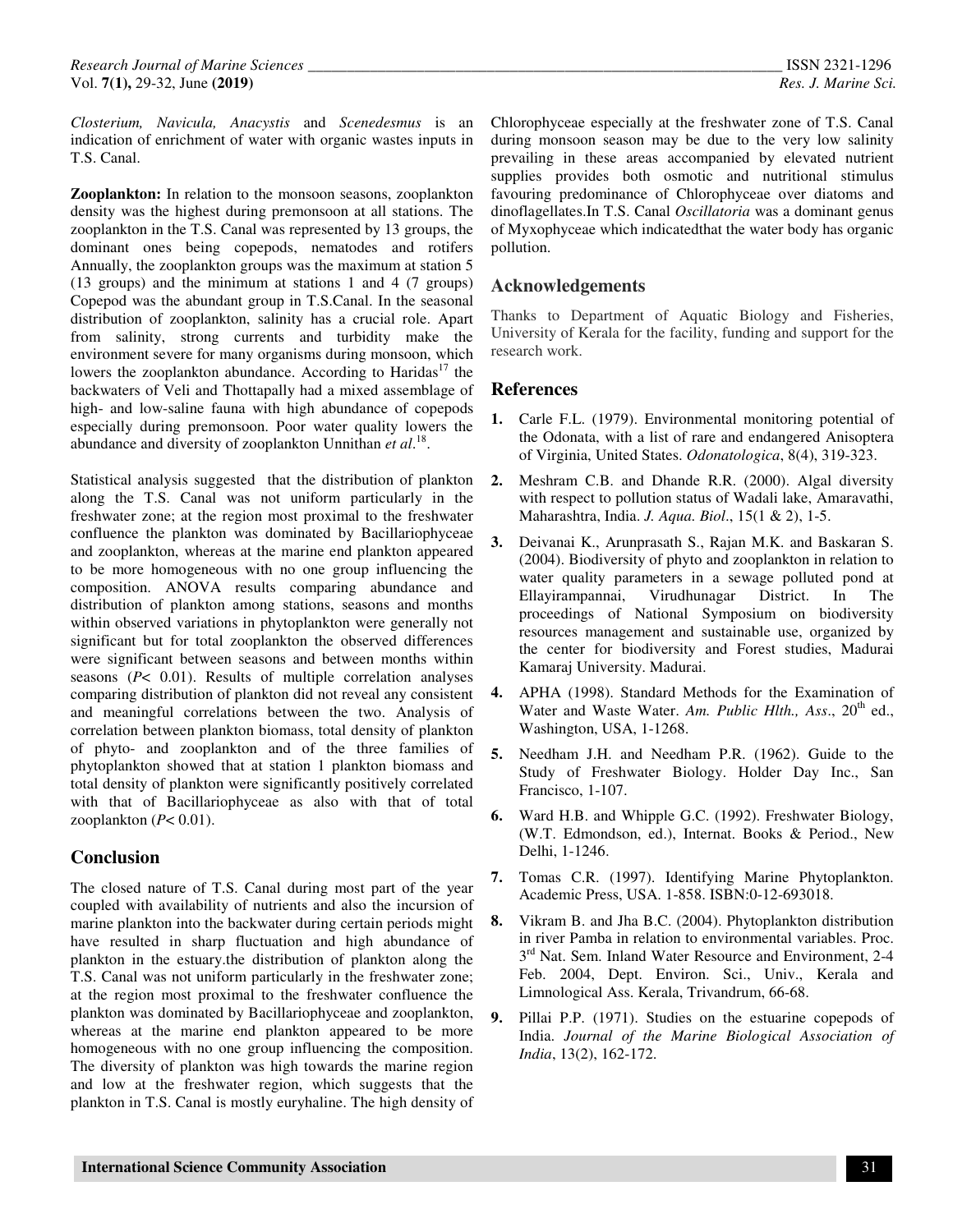*Closterium, Navicula, Anacystis* and *Scenedesmus* is an indication of enrichment of water with organic wastes inputs in T.S. Canal.

**Zooplankton:** In relation to the monsoon seasons, zooplankton density was the highest during premonsoon at all stations. The zooplankton in the T.S. Canal was represented by 13 groups, the dominant ones being copepods, nematodes and rotifers Annually, the zooplankton groups was the maximum at station 5 (13 groups) and the minimum at stations 1 and 4 (7 groups) Copepod was the abundant group in T.S.Canal. In the seasonal distribution of zooplankton, salinity has a crucial role. Apart from salinity, strong currents and turbidity make the environment severe for many organisms during monsoon, which lowers the zooplankton abundance. According to Haridas<sup>17</sup> the backwaters of Veli and Thottapally had a mixed assemblage of high- and low-saline fauna with high abundance of copepods especially during premonsoon. Poor water quality lowers the abundance and diversity of zooplankton Unnithan et al.<sup>18</sup>.

Statistical analysis suggested that the distribution of plankton along the T.S. Canal was not uniform particularly in the freshwater zone; at the region most proximal to the freshwater confluence the plankton was dominated by Bacillariophyceae and zooplankton, whereas at the marine end plankton appeared to be more homogeneous with no one group influencing the composition. ANOVA results comparing abundance and distribution of plankton among stations, seasons and months within observed variations in phytoplankton were generally not significant but for total zooplankton the observed differences were significant between seasons and between months within seasons (*P*< 0.01). Results of multiple correlation analyses comparing distribution of plankton did not reveal any consistent and meaningful correlations between the two. Analysis of correlation between plankton biomass, total density of plankton of phyto- and zooplankton and of the three families of phytoplankton showed that at station 1 plankton biomass and total density of plankton were significantly positively correlated with that of Bacillariophyceae as also with that of total zooplankton (*P*< 0.01).

### **Conclusion**

The closed nature of T.S. Canal during most part of the year coupled with availability of nutrients and also the incursion of marine plankton into the backwater during certain periods might have resulted in sharp fluctuation and high abundance of plankton in the estuary.the distribution of plankton along the T.S. Canal was not uniform particularly in the freshwater zone; at the region most proximal to the freshwater confluence the plankton was dominated by Bacillariophyceae and zooplankton, whereas at the marine end plankton appeared to be more homogeneous with no one group influencing the composition. The diversity of plankton was high towards the marine region and low at the freshwater region, which suggests that the plankton in T.S. Canal is mostly euryhaline. The high density of Chlorophyceae especially at the freshwater zone of T.S. Canal during monsoon season may be due to the very low salinity prevailing in these areas accompanied by elevated nutrient supplies provides both osmotic and nutritional stimulus favouring predominance of Chlorophyceae over diatoms and dinoflagellates.In T.S. Canal *Oscillatoria* was a dominant genus of Myxophyceae which indicatedthat the water body has organic pollution.

### **Acknowledgements**

Thanks to Department of Aquatic Biology and Fisheries, University of Kerala for the facility, funding and support for the research work.

### **References**

- **1.** Carle F.L. (1979). Environmental monitoring potential of the Odonata, with a list of rare and endangered Anisoptera of Virginia, United States. *Odonatologica*, 8(4), 319-323.
- **2.** Meshram C.B. and Dhande R.R. (2000). Algal diversity with respect to pollution status of Wadali lake, Amaravathi, Maharashtra, India. *J. Aqua. Biol*., 15(1 & 2), 1-5.
- **3.** Deivanai K., Arunprasath S., Rajan M.K. and Baskaran S. (2004). Biodiversity of phyto and zooplankton in relation to water quality parameters in a sewage polluted pond at Ellayirampannai, Virudhunagar District. In The proceedings of National Symposium on biodiversity resources management and sustainable use, organized by the center for biodiversity and Forest studies, Madurai Kamaraj University. Madurai.
- **4.** APHA (1998). Standard Methods for the Examination of Water and Waste Water. Am. Public Hlth., Ass., 20<sup>th</sup> ed., Washington, USA, 1-1268.
- **5.** Needham J.H. and Needham P.R. (1962). Guide to the Study of Freshwater Biology. Holder Day Inc., San Francisco, 1-107.
- **6.** Ward H.B. and Whipple G.C. (1992). Freshwater Biology, (W.T. Edmondson, ed.), Internat. Books & Period., New Delhi, 1-1246.
- **7.** Tomas C.R. (1997). Identifying Marine Phytoplankton. Academic Press, USA. 1-858. ISBN:0-12-693018.
- **8.** Vikram B. and Jha B.C. (2004). Phytoplankton distribution in river Pamba in relation to environmental variables. Proc.  $3<sup>rd</sup>$  Nat. Sem. Inland Water Resource and Environment, 2-4 Feb. 2004, Dept. Environ. Sci., Univ., Kerala and Limnological Ass. Kerala, Trivandrum, 66-68.
- **9.** Pillai P.P. (1971). Studies on the estuarine copepods of India. *Journal of the Marine Biological Association of India*, 13(2), 162-172.